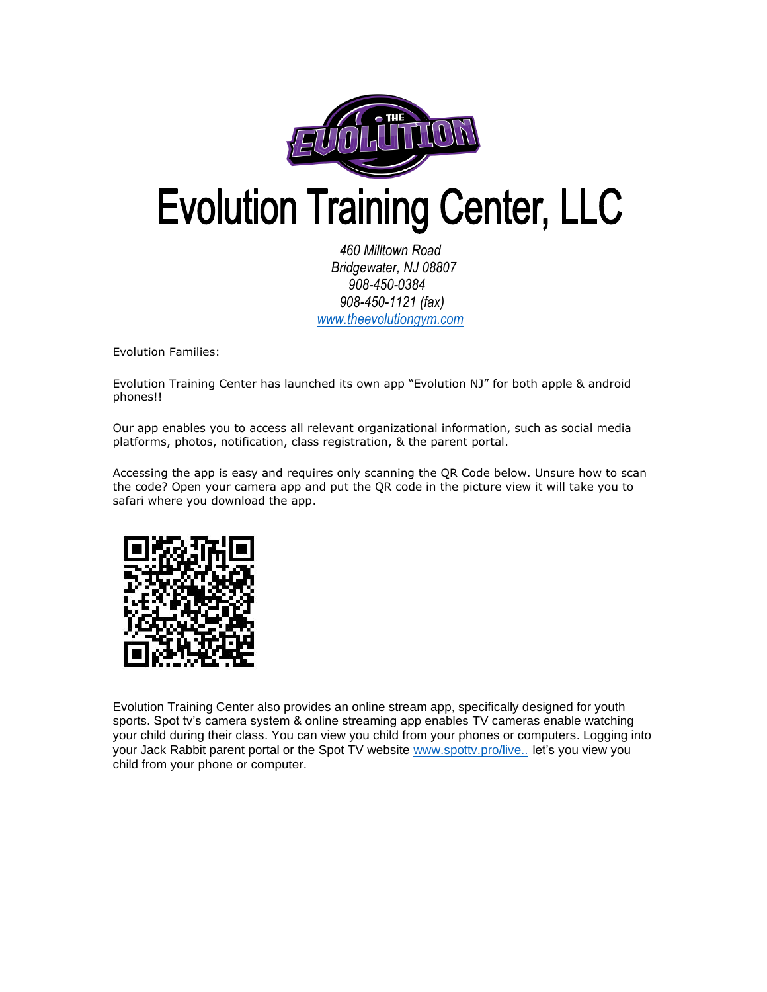

## **Evolution Training Center, LLC**

 *460 Milltown Road Bridgewater, NJ 08807 908-450-0384 908-450-1121 (fax) [www.theevolutiongym.com](http://www.theevolutiongym.com/)*

Evolution Families:

Evolution Training Center has launched its own app "Evolution NJ" for both apple & android phones!!

Our app enables you to access all relevant organizational information, such as social media platforms, photos, notification, class registration, & the parent portal.

Accessing the app is easy and requires only scanning the QR Code below. Unsure how to scan the code? Open your camera app and put the QR code in the picture view it will take you to safari where you download the app.



Evolution Training Center also provides an online stream app, specifically designed for youth sports. Spot tv's camera system & online streaming app enables TV cameras enable watching your child during their class. You can view you child from your phones or computers. Logging into your Jack Rabbit parent portal or the Spot TV website [www.spottv.pro/live..](http://www.spottv.pro/live..you) let's you view you child from your phone or computer.